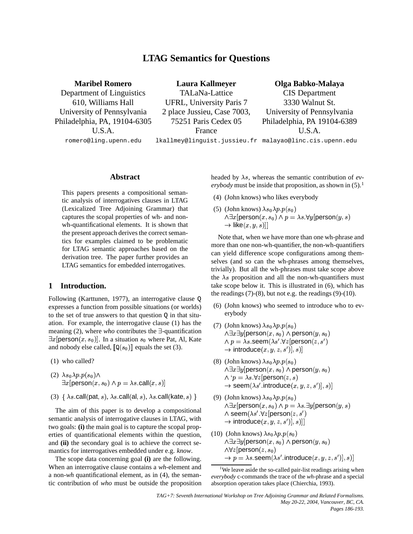# **LTAG Semantics for Questions**

**Maribel Romero** Department of Linguistics 610, Williams Hall University of Pennsylvania Philadelphia, PA, 19104-6305 U.S.A.

**Laura Kallmeyer** TALaNa-Lattice UFRL, University Paris 7 2 place Jussieu, Case 7003, 75251 Paris Cedex 05 France

**Olga Babko-Malaya** CIS Department 3330 Walnut St. University of Pennsylvania Philadelphia, PA 19104-6389 U.S.A.

romero@ling.upenn.edu

lkallmey@linguist.jussieu.fr malayao@linc.cis.upenn.edu

### **Abstract**

This papers presents a compositional semantic analysis of interrogatives clauses in LTAG (Lexicalized Tree Adjoining Grammar) that captures the scopal properties of wh- and nonwh-quantificational elements. It is shown that the present approach derives the correct semantics for examples claimed to be problematic for LTAG semantic approaches based on the derivation tree. The paper further provides an LTAG semantics for embedded interrogatives.

## **1 Introduction.**

Following (Karttunen, 1977), an interrogative clause Q expresses a function from possible situations (or worlds) to the set of true answers to that question  $Q$  in that situation. For example, the interrogative clause (1) has the meaning  $(2)$ , where *who* contributes the  $\exists$ -quantification  $\exists x$ [person $(x, s_0)$ ]. In a situation  $s_0$  where Pat, Al, Kate and nobody else called,  $[\mathbb{Q}(s_0)]$  equals the set (3).

- (1) who called?
- (2)  $\lambda s_0 \lambda p.p(s_0) \wedge$  $\exists x [ \mathsf{person}(x, s_0) \land p = \lambda s.\mathsf{call}(x, s) ]$
- (3)  $\{ \lambda s \text{.call}(\text{pat}, s), \lambda s \text{.call}(\text{al}, s), \lambda s \text{.call}(\text{kate}, s) \}$  (9)

The aim of this paper is to develop a compositional semantic analysis of interrogative clauses in LTAG, with two goals: **(i)** the main goal is to capture the scopal properties of quantificational elements within the question, and **(ii)** the secondary goal is to achieve the correct semantics for interrogatives embedded under e.g. *know*.

The scope data concerning goal **(i)** are the following. When an interrogative clause contains a *wh*-element and a non-*wh* quantificational element, as in (4), the semantic contribution of *who* must be outside the proposition

headed by  $\lambda s$ , whereas the semantic contribution of  $ev$ *erybody* must be inside that proposition, as shown in  $(5)$ .<sup>1</sup>

- (4) (John knows) who likes everybody
- (5) (John knows)  $\lambda s_0 \lambda p.p(s_0)$  $\wedge \exists x [ \mathsf{person}(x, s_0) \wedge p = \lambda s. \forall y [ \mathsf{person}(y, s) ]$  $\rightarrow$  like $(x,y,s)$ ]]

Note that, when we have more than one wh-phrase and more than one non-wh-quantifier, the non-wh-quantifiers can yield difference scope configurations among themselves (and so can the wh-phrases among themselves, trivially). But all the wh-phrases must take scope above the  $\lambda s$  proposition and all the non-wh-quantifiers must take scope below it. This is illustrated in (6), which has the readings  $(7)-(8)$ , but not e.g. the readings  $(9)-(10)$ .

- (6) (John knows) who seemed to introduce who to everybody
- (7) (John knows)  $\lambda s_0 \lambda p.p(s_0)$ ∧∃ $x$ ∃ $y$ [person $(x,s_0)$  ∧ person $(y,s_0)$  $\wedge$   $p = \lambda s.$ seem $(\lambda s'.\forall z$ [person $(z,s')$  $\rightarrow$  introduce $(x,y,z,s')],s)$ ]
- (8) (John knows)  $\lambda s_0 \lambda p.p(s_0)$ ∧∃ $x$ ∃ $y$ [person $(x,s_0)$  ∧ person $(y,s_0)$  $\wedge$  ' $p = \lambda s. \forall z$ [person $(z, s)$  $\rightarrow$  seem $(\lambda s'.$ introduce $(x,y,z,s')],s)$ ]
- (9) (John knows)  $\lambda s_0 \lambda p.p(s_0)$  $\wedge \exists x [ \mathsf{person}(x, s_0) \wedge p = \lambda s. \exists y [ \mathsf{person}(y, s)]$  $\land$  seem $(\lambda s'.\forall z[person(z,s')])$  $\rightarrow$  introduce $(x,y,z,s')],s)]]$
- (10) (John knows)  $\lambda s_0 \lambda p.p(s_0)$ ∧∃ $x$ ∃ $y$ [person $(x,s_0)$  ∧ person $(y,s_0)$  $\wedge \forall z$ [person $(z,s_0)$  $\rightarrow p=\lambda s.$ seem $(\lambda s'.$ introduce $(x,y,z,s')$ ],  $s)$ ]

<sup>1</sup>We leave aside the so-called pair-list readings arising when *everybody* c-commands the trace of the *wh*-phrase and a special absorption operation takes place (Chierchia, 1993).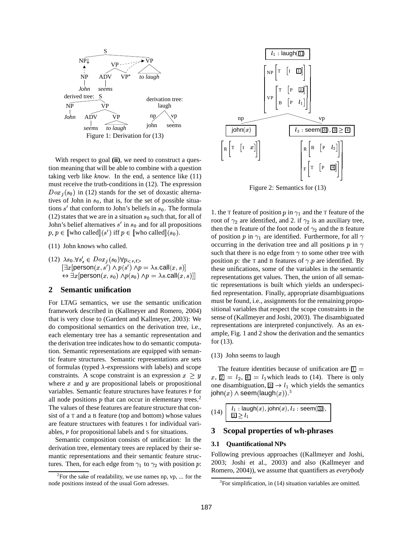

With respect to goal (ii), we need to construct a question meaning that will be able to combine with a question taking verb like *know*. In the end, a sentence like (11) must receive the truth-conditions in (12). The expression  $Dox<sub>j</sub>(s<sub>0</sub>)$  in (12) stands for the set of doxastic alternatives of John in  $s_0$ , that is, for the set of possible situations  $s'$  that conform to John's beliefs in  $s_0$ . The formula (12) states that we are in a situation  $s_0$  such that, for all of John's belief alternatives  $s'$  in  $s_0$  and for all propositions  $p, p \in [\![$  who called $]\!](s')$  iff  $p \in [\![$  who called $]\!](s_0)$ .

(11) John knows who called.

(12)  $\lambda s_0 \cdot \forall s'_s \in Dox_j(s_0) \forall p_{\leq s,t>}$  $\exists x$ [person $(x,s') \wedge p(s') \wedge p = \lambda s$ .call $(x,s)$ ]  $\leftrightarrow \exists x$ [person $(x,s_0) \land p(s_0) \land p = \lambda s$ .call $(x,s)$ ]]

## **2 Semantic unification**

For LTAG semantics, we use the semantic unification framework described in (Kallmeyer and Romero, 2004) that is very close to (Gardent and Kallmeyer, 2003): We do compositional semantics on the derivation tree, i.e., each elementary tree has a semantic representation and the derivation tree indicates how to do semantic computation. Semantic representations are equipped with semantic feature structures. Semantic representations are sets of formulas (typed  $\lambda$ -expressions with labels) and scope constraints. A scope constraint is an expression  $x \geq y$ where  $x$  and  $y$  are propositional labels or propositional variables. Semantic feature structures have features P for all node positions  $p$  that can occur in elementary trees.<sup>2</sup> The values of these features are feature structure that consist of a T and a B feature (top and bottom) whose values are feature structures with features I for individual variables, P for propositional labels and S for situations.

Semantic composition consists of unification: In the derivation tree, elementary trees are replaced by their semantic representations and their semantic feature structures. Then, for each edge from  $\gamma_1$  to  $\gamma_2$  with position p:



Figure 2: Semantics for (13)

1. the T feature of position p in  $\gamma_1$  and the T feature of the root of  $\gamma_2$  are identified, and 2. if  $\gamma_2$  is an auxiliary tree, then the B feature of the foot node of  $\gamma_2$  and the B feature of position p in  $\gamma_1$  are identified. Furthermore, for all  $\gamma$ occurring in the derivation tree and all positions  $p$  in  $\gamma$ such that there is no edge from  $\gamma$  to some other tree with position p: the T and B features of  $\gamma$  p are identified. By these unifications, some of the variables in the semantic representations get values. Then, the union of all semantic representations is built which yields an underspecified representation. Finally, appropriate disambiguations must be found, i.e., assignments for the remaining propositional variables that respect the scope constraints in the sense of (Kallmeyer and Joshi, 2003). The disambiguated representations are interpreted conjunctively. As an example, Fig. 1 and 2 show the derivation and the semantics for (13).

### (13) John seems to laugh

The feature identities because of unification are  $\boxed{1}$  =  $x, \overline{2} = l_2, \overline{4} = l_1$  which leads to (14). There is only one disambiguation,  $\boxed{3} \rightarrow l_1$  which yields the semantics john $(x)\wedge \mathsf{seem}(\mathsf{laugh}(x)).^3$ 

$$
14) \left[\begin{array}{l} l_1: |{\sf augh}(x), {\sf john}(x), l_2: {\sf seem}(\boxed{3}), \\ \boxed{3} \geq l_1 \end{array}\right]
$$

## **3 Scopal properties of wh-phrases**

### **3.1 Quantificational NPs**

Following previous approaches ((Kallmeyer and Joshi, 2003; Joshi et al., 2003) and also (Kallmeyer and Romero, 2004)), we assume that quantifiers as *everybody*

 $($ 

<sup>&</sup>lt;sup>2</sup>For the sake of readability, we use names np,  $vp$ , ... for the node positions instead of the usual Gorn adresses.

 $3$ For simplification, in (14) situation variables are omitted.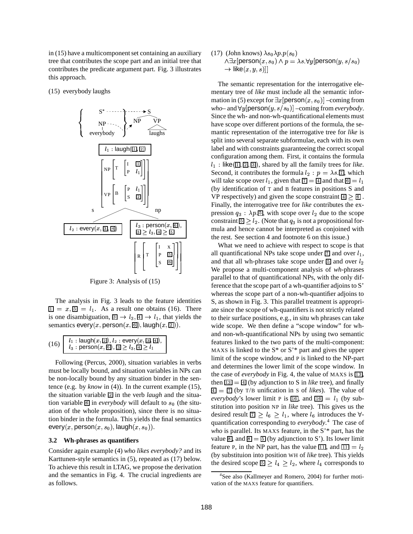in (15) have a multicomponent set containing an auxiliary tree that contributes the scope part and an initial tree that contributes the predicate argument part. Fig. 3 illustrates this approach.

(15) everybody laughs



Figure 3: Analysis of (15)

The analysis in Fig. 3 leads to the feature identities  $\overline{11} = x, \overline{5} = l_1$ . As a result one obtains (16). There is one disambiguation,  $\boxed{3} \rightarrow l_3, \boxed{4} \rightarrow l_1$ , that yields the semantics every(x, person(x, 6), laugh(x, 2)).

$$
(16)\left|\begin{array}{l} l_1: |\mathsf{augh}(x,\text{2}),l_2:\mathsf{every}(x,\text{3},\text{4}),\\ l_3: \mathsf{person}(x,\text{6}), \text{5} \geq l_3, \text{4} \geq l_1 \end{array}\right|
$$

Following (Percus, 2000), situation variables in verbs must be locally bound, and situation variables in NPs can be non-locally bound by any situation binder in the sentence (e.g. by *know* in (4)). In the current example (15), the situation variable 2 in the verb *laugh* and the situation variable  $\boxed{6}$  in *everybody* will default to  $s_0$  (the situation of the whole proposition), since there is no situation binder in the formula. This yields the final semantics every(x, person(x, s<sub>0</sub>), laugh(x, s<sub>0</sub>)).

#### **3.2 Wh-phrases as quantifiers**

Consider again example (4) *who likes everybody?* and its Karttunen-style semantics in (5), repeated as (17) below. To achieve this result in LTAG, we propose the derivation and the semantics in Fig. 4. The crucial ingredients are as follows.

(17) (John knows)  $\lambda s_0 \lambda p.p(s_0)$  $\wedge \exists x [ \mathsf{person}(x,s_0) \wedge p = \lambda s. \forall y [ \mathsf{person}(y,s/s_0)]$  $\rightarrow$  like $(x,y,s)]]$ 

The semantic representation for the interrogative elementary tree of *like* must include all the semantic information in (5) except for  $\exists x$  [person $(x, s_0)$ ] –coming from  $who$  – and  $\forall y$  [**person** $(y, s/s_0)$ ] –coming from *everybody*. Since the wh- and non-wh-quantificational elements must have scope over different portions of the formula, the semantic representation of the interrogative tree for *like* is split into several separate subformulae, each with its own label and with constraints guaranteeing the correct scopal configuration among them. First, it contains the formula  $l_1$ : like  $(\mathbf{I}, \mathbf{I}, \mathbf{I}, \mathbf{I})$ , shared by all the family trees for *like*. Second, it contributes the formula  $l_2$ :  $p = \lambda s$ .  $\boxed{7}$ , which will take scope over  $l_1$ , given that  $\boxed{7} = \boxed{4}$  and that  $\boxed{6} = l_1$ (by identification of T and B features in positions S and VP respectively) and given the scope constraint  $\boxed{4} \geq \boxed{6}$ . Finally, the interrogative tree for *like* contributes the expression  $q_3$ :  $\lambda p.5$ , with scope over  $l_2$  due to the scope constraint  $\boxed{5} \geq l_2$ . (Note that  $q_3$  is not a propositional formula and hence cannot be interpreted as conjoined with the rest. See section 4 and footnote 6 on this issue.)

What we need to achieve with respect to scope is that all quantificational NPs take scope under  $\boxed{7}$  and over  $l_1$ , and that all wh-phrases take scope under  $\overline{5}$  and over  $l_2$ We propose a multi-component analysis of *wh*-phrases parallel to that of quantificational NPs, with the only difference that the scope part of a wh-quantifier adjoins to S' whereas the scope part of a non-wh-quantifier adjoins to S, as shown in Fig. 3. This parallel treatment is appropriate since the scope of wh-quantifiers is not strictly related to their surface positions, e.g., in situ wh phrases can take wide scope. We then define a "scope window" for whand non-wh-quantificational NPs by using two semantic features linked to the two parts of the multi-component: MAXS is linked to the  $S^*$  or  $S^*$  part and gives the upper limit of the scope window, and P is linked to the NP-part and determines the lower limit of the scope window. In the case of *everybody* in Fig. 4, the value of MAXS is  $\boxed{13}$ , then  $\boxed{13} = \boxed{4}$  (by adjunction to S in *like* tree), and finally  $\overline{A}$  =  $\overline{A}$  (by T/B unification in S of *likes*). The value of *everybody*'s lower limit P is  $\boxed{16}$ , and  $\boxed{16} = l_1$  (by substitution into position NP in *like* tree). This gives us the desired result  $\boxed{7} \geq l_6 \geq l_1$ , where  $l_6$  introduces the  $\forall$ quantification corresponding to *everybody*. <sup>4</sup> The case of *who* is parallel. Its MAXS feature, in the S'\* part, has the value  $\boxed{8}$ , and  $\boxed{8} = \boxed{5}$  (by adjunction to S'). Its lower limit feature P, in the NP part, has the value  $\boxed{11}$ , and  $\boxed{11} = l_2$ (by substituion into position WH of *like* tree). This yields the desired scope  $\boxed{5} \ge l_4 \ge l_2$ , where  $l_4$  corresponds to

<sup>4</sup> See also (Kallmeyer and Romero, 2004) for further motivation of the MAXS feature for quantifiers.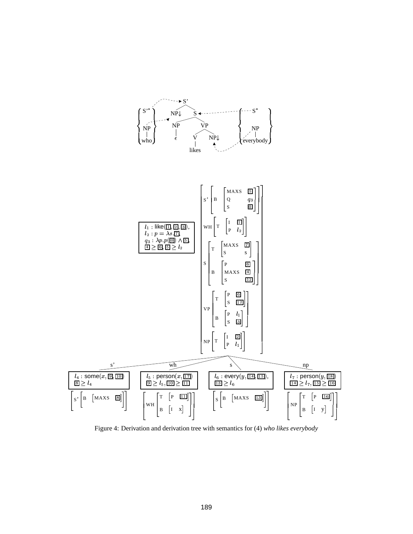

Figure 4: Derivation and derivation tree with semantics for (4) who likes everybody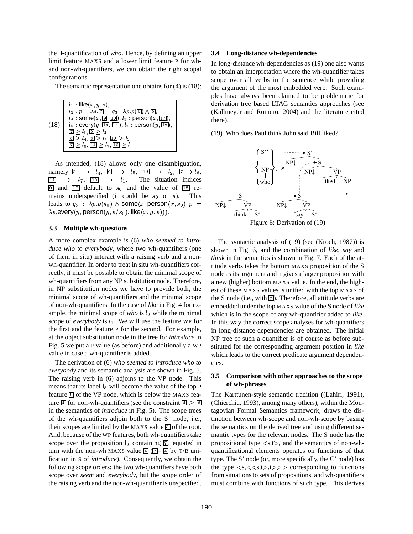the <sup>3</sup>-quantification of *who*. Hence, by defining an upper limit feature MAXS and a lower limit feature P for whand non-wh-quantifiers, we can obtain the right scopal configurations.

The semantic representation one obtains for (4) is (18):



As intended, (18) allows only one disambiguation, namely  $\boxed{5} \rightarrow l_4$ ,  $\boxed{9} \rightarrow l_5$ ,  $\boxed{10} \rightarrow l_2$ ,  $\boxed{7} \rightarrow l_6$ ,  $\begin{array}{lclclclcl} 14 & \rightarrow & l_7, & \overline{15} & \rightarrow & l_7 \end{array}$  $\rightarrow$   $l_1$ . The situation indices and  $\overline{17}$  default to  $s_0$  and the value of  $\overline{18}$  remains underspecified (it could be  $s_0$  or s). This ). This leads to  $q_3$  :  $\lambda p.p(s_0) \wedge \textsf{some}(x,\textsf{person}(x,s_0),p = \sqrt{NPL}$  $\lambda s$  every $(y,$  person $(y,s/s_0),$  like $(x,y,s))$  ).

#### **3.3 Multiple wh-questions**

A more complex example is (6) *who seemed to introduce who to everybody*, where two wh-quantifiers (one of them in situ) interact with a raising verb and a nonwh-quantifier. In order to treat in situ wh-quantifiers correctly, it must be possible to obtain the minimal scope of wh-quantifiers from any NP substitution node. Therefore, in NP substitution nodes we have to provide both, the minimal scope of wh-quantifiers and the minimal scope of non-wh-quantifiers. In the case of *like* in Fig. 4 for example, the minimal scope of *who* is  $l_2$  while the minimal scope of *everybody* is  $l_1$ . We will use the feature WP for the first and the feature P for the second. For example, at the object substitution node in the tree for *introduce* in Fig. 5 we put a P value (as before) and additionally a WP value in case a wh-quantifier is added.

The derivation of (6) *who seemed to introduce who to everybody* and its semantic analysis are shown in Fig. 5. The raising verb in (6) adjoins to the VP node. This means that its label  $l_8$  will become the value of the top P feature 6 of the VP node, which is below the MAXS feature  $\boxed{4}$  for non-wh-quantifiers (see the constraint  $\boxed{4}$  >  $\boxed{6}$ in the semantics of *introduce* in Fig. 5). The scope trees of the wh-quantifiers adjoin both to the S' node, i.e., their scopes are limited by the MAXS value  $\overline{5}$  of the root. And, because of the WP features, both wh-quantifiers take scope over the proposition  $l_2$  containing  $\overline{1}$ , equated in turn with the non-wh MAXS value  $\overline{4}$  ( $\overline{7}$  =  $\overline{4}$ ) by T/B unification in S of *introduce*). Consequently, we obtain the following scope orders: the two wh-quantifiers have both scope over *seem* and *everybody*, but the scope order of the raising verb and the non-wh-quantifier is unspecified.

#### **3.4 Long-distance wh-dependencies**

In long-distance wh-dependencies as (19) one also wants to obtain an interpretation where the wh-quantifier takes scope over all verbs in the sentence while providing the argument of the most embedded verb. Such examples have always been claimed to be problematic for derivation tree based LTAG semantics approaches (see (Kallmeyer and Romero, 2004) and the literature cited there).

(19) Who does Paul think John said Bill liked?



The syntactic analysis of (19) (see (Kroch, 1987)) is shown in Fig. 6, and the combination of *like*, *say* and *think* in the semantics is shown in Fig. 7. Each of the attitude verbs takes the bottom MAXS proposition of the S node as its argument and it gives a larger proposition with a new (higher) bottom MAXS value. In the end, the highest of these MAXS values is unified with the top MAXS of the S node (i.e., with  $\boxed{7}$ ). Therefore, all attitude verbs are embedded under the top MAXS value of the S node of *like* which is in the scope of any wh-quantifier added to *like*. In this way the correct scope analyses for wh-quantifiers in long-distance dependencies are obtained. The initial NP tree of such a quantifier is of course as before substituted for the corresponding argument position in *like* which leads to the correct predicate argument dependencies.

### **3.5 Comparison with other approaches to the scope of wh-phrases**

The Karttunen-style semantic tradition ((Lahiri, 1991), (Chierchia, 1993), among many others), within the Montagovian Formal Semantics framework, draws the distinction between wh-scope and non-wh-scope by basing the semantics on the derived tree and using different semantic types for the relevant nodes. The S node has the propositional type  $\langle s,t \rangle$ , and the semantics of non-whquantificational elements operates on functions of that type. The S' node (or, more specifically, the C' node) has the type  $\langle s, \langle \langle s,t \rangle \rangle \rangle$  corresponding to functions from situations to sets of propositions, and wh-quantifiers must combine with functions of such type. This derives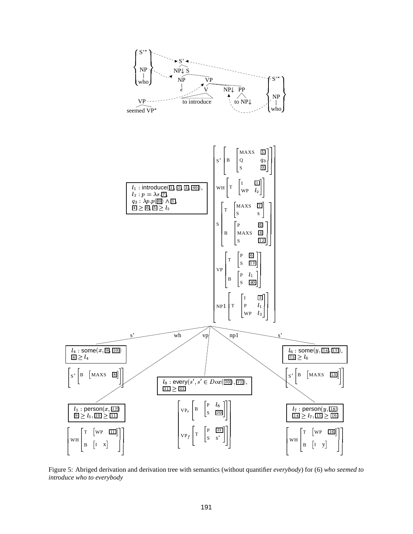

Figure 5: Abriged derivation and derivation tree with semantics (without quantifier everybody) for (6) who seemed to introduce who to everybody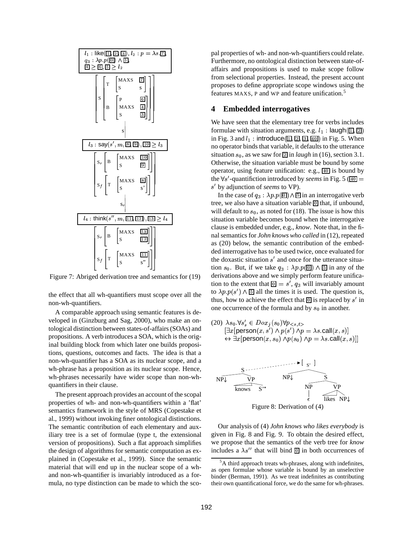

Figure 7: Abriged derivation tree and semantics for (19)

the effect that all wh-quantifiers must scope over all the non-wh-quantifiers.

A comparable approach using semantic features is developed in (Ginzburg and Sag, 2000), who make an ontological distinction between states-of-affairs(SOAs) and propositions. A verb introduces a SOA, which is the original building block from which later one builds propositions, questions, outcomes and facts. The idea is that a non-wh-quantifier has a SOA as its nuclear scope, and a wh-phrase has a proposition as its nuclear scope. Hence, wh-phrases necessarily have wider scope than non-whquantifiers in their clause.

The present approach provides an account of the scopal properties of wh- and non-wh-quantifiers within a 'flat' semantics framework in the style of MRS (Copestake et al., 1999) without invoking finer ontological distinctions. The semantic contribution of each elementary and auxiliary tree is a set of formulae (type t, the extensional version of propositions). Such a flat approach simplifies the design of algorithms for semantic computation as explained in (Copestake et al., 1999). Since the semantic material that will end up in the nuclear scope of a whand non-wh-quantifier is invariably introduced as a formula, no type distinction can be made to which the scopal properties of wh- and non-wh-quantifiers could relate. Furthermore, no ontological distinction between state-ofaffairs and propositions is used to make scope follow from selectional properties. Instead, the present account proposes to define appropriate scope windows using the features MAXS, P and WP and feature unification.<sup>5</sup>

## **4 Embedded interrogatives**

We have seen that the elementary tree for verbs includes formulae with situation arguments, e.g.  $l_1$  :  $\mathsf{laugh}(\overline{\mathbb{1}}, \overline{\mathbb{2}})$ in Fig. 3 and  $l_1:$  introduce( $\boxed{1}, \boxed{2}, \boxed{3}, \boxed{40}$ ) in Fi  $\overline{0}$ ) in Fig. 5. When no operator binds that variable, it defaults to the utterance situation  $s_0$ , as we saw for  $\boxed{2}$  in *laugh* in (16), section 3.1. Otherwise, the situation variable must be bound by some operator, using feature unification: e.g., [40] is bound by the  $\forall s'$ -quantifiction introduced by *seems* in Fig. 5 ( $\overline{40}$  = 0 by adjunction of *seems* to VP).

In the case of  $q_3 : \lambda p.p(\overline{0}) \wedge \overline{5}$  in an interrogative verb tree, we also have a situation variable **o** that, if unbound, will default to  $s_0$ , as noted for (18). The issue is how this situation variable becomes bound when the interrogative clause is embedded under, e.g., *know*. Note that, in the final semantics for *John knows who called* in (12), repeated as (20) below, the semantic contribution of the embedded interrogative has to be used twice, once evaluated for the doxastic situation  $s'$  and once for the utterance situation  $s_0$ . But, if we take  $q_3$ :  $\lambda p.p(\boxed{0}) \wedge \boxed{5}$  in any of the derivations above and we simply perform feature unification to the extent that  $\boxed{0} = s'$ ,  $= s'$ ,  $q_3$  will invariably amount to  $\lambda p.p(s') \wedge \underline{5}$  all the times it is used. The question is, thus, how to achieve the effect that  $\boxed{0}$  is replaced by s' in one occurrence of the formula and by  $s_0$  in another.

(20)  $\lambda s_0 \,\forall s'_s \in Dox_j(s_0) \forall p_{\leq s,t>}$  $\left[ \exists x [ \mathsf{person}(x,s') \land p(s') \land p = \lambda s.\mathsf{call}(x,s) \right]$  $\leftrightarrow \exists x$ [person $(x,s_0) \land p(s_0) \land p = \lambda s$ .call $(x,s)$ ]]



Our analysis of (4) *John knows who likes everybody* is given in Fig. 8 and Fig. 9. To obtain the desired effect, we propose that the semantics of the verb tree for *know* includes a  $\lambda s''$  that will bind  $\boxed{0}$  in both occurrences of

 $5A$  third approach treats wh-phrases, along with indefinites, as open formulae whose variable is bound by an unselective binder (Berman, 1991). As we treat indefinites as contributing their own quantificational force, we do the same for wh-phrases.